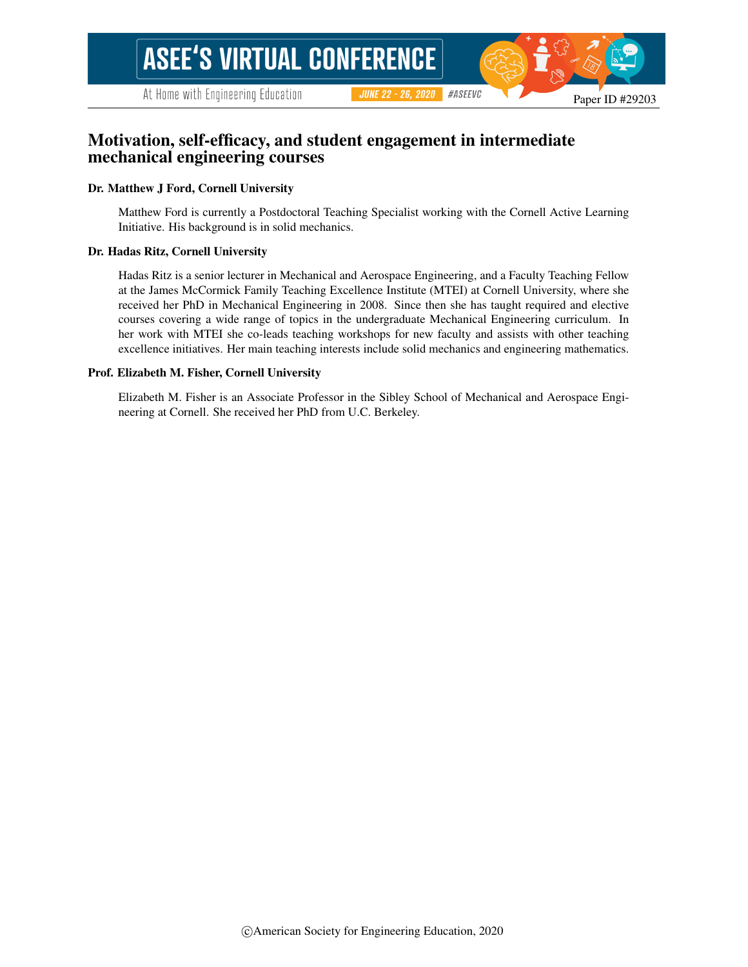#### Paper ID #29203

# Motivation, self-efficacy, and student engagement in intermediate mechanical engineering courses

#### Dr. Matthew J Ford, Cornell University

Matthew Ford is currently a Postdoctoral Teaching Specialist working with the Cornell Active Learning Initiative. His background is in solid mechanics.

**JUNE 22 - 26, 2020** 

#ASEEVC

#### Dr. Hadas Ritz, Cornell University

Hadas Ritz is a senior lecturer in Mechanical and Aerospace Engineering, and a Faculty Teaching Fellow at the James McCormick Family Teaching Excellence Institute (MTEI) at Cornell University, where she received her PhD in Mechanical Engineering in 2008. Since then she has taught required and elective courses covering a wide range of topics in the undergraduate Mechanical Engineering curriculum. In her work with MTEI she co-leads teaching workshops for new faculty and assists with other teaching excellence initiatives. Her main teaching interests include solid mechanics and engineering mathematics.

#### Prof. Elizabeth M. Fisher, Cornell University

Elizabeth M. Fisher is an Associate Professor in the Sibley School of Mechanical and Aerospace Engineering at Cornell. She received her PhD from U.C. Berkeley.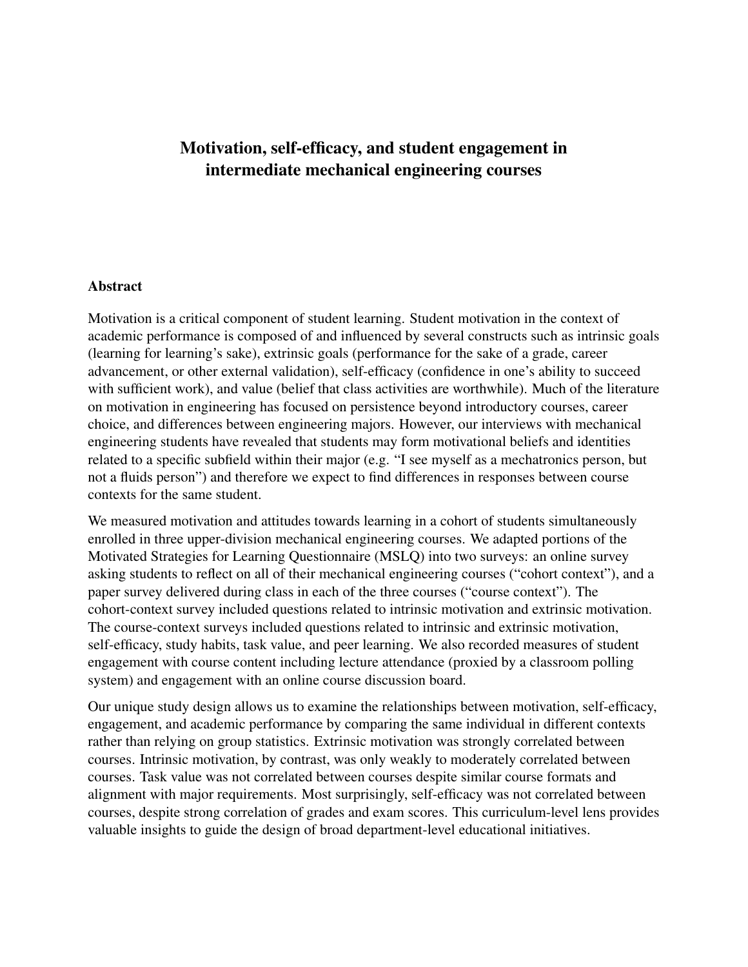# Motivation, self-efficacy, and student engagement in intermediate mechanical engineering courses

### Abstract

Motivation is a critical component of student learning. Student motivation in the context of academic performance is composed of and influenced by several constructs such as intrinsic goals (learning for learning's sake), extrinsic goals (performance for the sake of a grade, career advancement, or other external validation), self-efficacy (confidence in one's ability to succeed with sufficient work), and value (belief that class activities are worthwhile). Much of the literature on motivation in engineering has focused on persistence beyond introductory courses, career choice, and differences between engineering majors. However, our interviews with mechanical engineering students have revealed that students may form motivational beliefs and identities related to a specific subfield within their major (e.g. "I see myself as a mechatronics person, but not a fluids person") and therefore we expect to find differences in responses between course contexts for the same student.

We measured motivation and attitudes towards learning in a cohort of students simultaneously enrolled in three upper-division mechanical engineering courses. We adapted portions of the Motivated Strategies for Learning Questionnaire (MSLQ) into two surveys: an online survey asking students to reflect on all of their mechanical engineering courses ("cohort context"), and a paper survey delivered during class in each of the three courses ("course context"). The cohort-context survey included questions related to intrinsic motivation and extrinsic motivation. The course-context surveys included questions related to intrinsic and extrinsic motivation, self-efficacy, study habits, task value, and peer learning. We also recorded measures of student engagement with course content including lecture attendance (proxied by a classroom polling system) and engagement with an online course discussion board.

Our unique study design allows us to examine the relationships between motivation, self-efficacy, engagement, and academic performance by comparing the same individual in different contexts rather than relying on group statistics. Extrinsic motivation was strongly correlated between courses. Intrinsic motivation, by contrast, was only weakly to moderately correlated between courses. Task value was not correlated between courses despite similar course formats and alignment with major requirements. Most surprisingly, self-efficacy was not correlated between courses, despite strong correlation of grades and exam scores. This curriculum-level lens provides valuable insights to guide the design of broad department-level educational initiatives.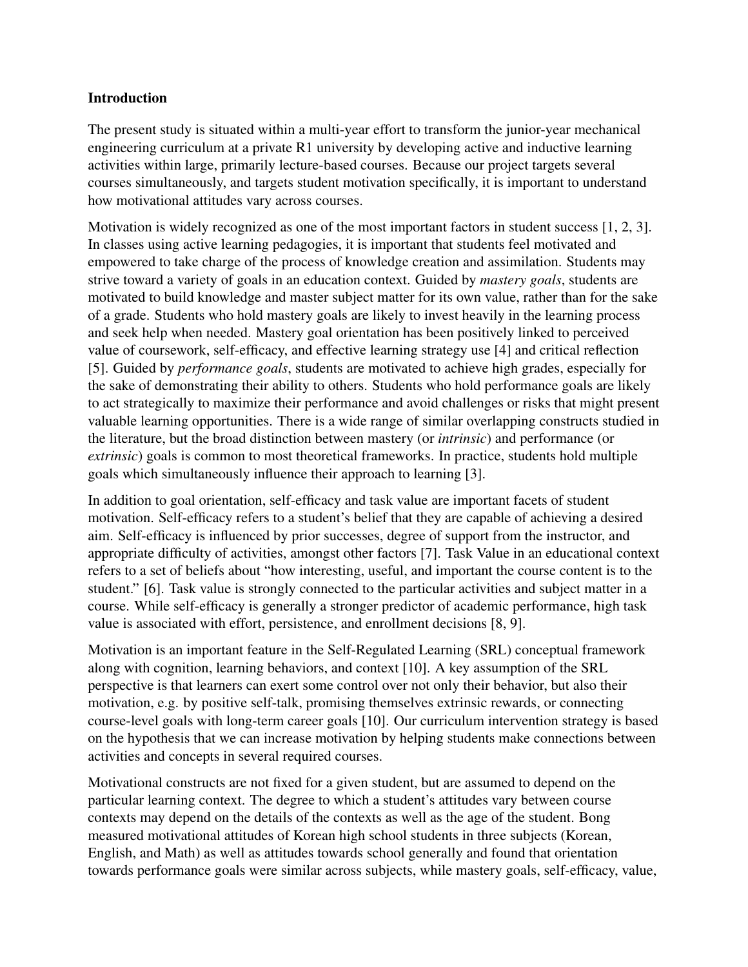## Introduction

The present study is situated within a multi-year effort to transform the junior-year mechanical engineering curriculum at a private R1 university by developing active and inductive learning activities within large, primarily lecture-based courses. Because our project targets several courses simultaneously, and targets student motivation specifically, it is important to understand how motivational attitudes vary across courses.

Motivation is widely recognized as one of the most important factors in student success [1, 2, 3]. In classes using active learning pedagogies, it is important that students feel motivated and empowered to take charge of the process of knowledge creation and assimilation. Students may strive toward a variety of goals in an education context. Guided by *mastery goals*, students are motivated to build knowledge and master subject matter for its own value, rather than for the sake of a grade. Students who hold mastery goals are likely to invest heavily in the learning process and seek help when needed. Mastery goal orientation has been positively linked to perceived value of coursework, self-efficacy, and effective learning strategy use [4] and critical reflection [5]. Guided by *performance goals*, students are motivated to achieve high grades, especially for the sake of demonstrating their ability to others. Students who hold performance goals are likely to act strategically to maximize their performance and avoid challenges or risks that might present valuable learning opportunities. There is a wide range of similar overlapping constructs studied in the literature, but the broad distinction between mastery (or *intrinsic*) and performance (or *extrinsic*) goals is common to most theoretical frameworks. In practice, students hold multiple goals which simultaneously influence their approach to learning [3].

In addition to goal orientation, self-efficacy and task value are important facets of student motivation. Self-efficacy refers to a student's belief that they are capable of achieving a desired aim. Self-efficacy is influenced by prior successes, degree of support from the instructor, and appropriate difficulty of activities, amongst other factors [7]. Task Value in an educational context refers to a set of beliefs about "how interesting, useful, and important the course content is to the student." [6]. Task value is strongly connected to the particular activities and subject matter in a course. While self-efficacy is generally a stronger predictor of academic performance, high task value is associated with effort, persistence, and enrollment decisions [8, 9].

Motivation is an important feature in the Self-Regulated Learning (SRL) conceptual framework along with cognition, learning behaviors, and context [10]. A key assumption of the SRL perspective is that learners can exert some control over not only their behavior, but also their motivation, e.g. by positive self-talk, promising themselves extrinsic rewards, or connecting course-level goals with long-term career goals [10]. Our curriculum intervention strategy is based on the hypothesis that we can increase motivation by helping students make connections between activities and concepts in several required courses.

Motivational constructs are not fixed for a given student, but are assumed to depend on the particular learning context. The degree to which a student's attitudes vary between course contexts may depend on the details of the contexts as well as the age of the student. Bong measured motivational attitudes of Korean high school students in three subjects (Korean, English, and Math) as well as attitudes towards school generally and found that orientation towards performance goals were similar across subjects, while mastery goals, self-efficacy, value,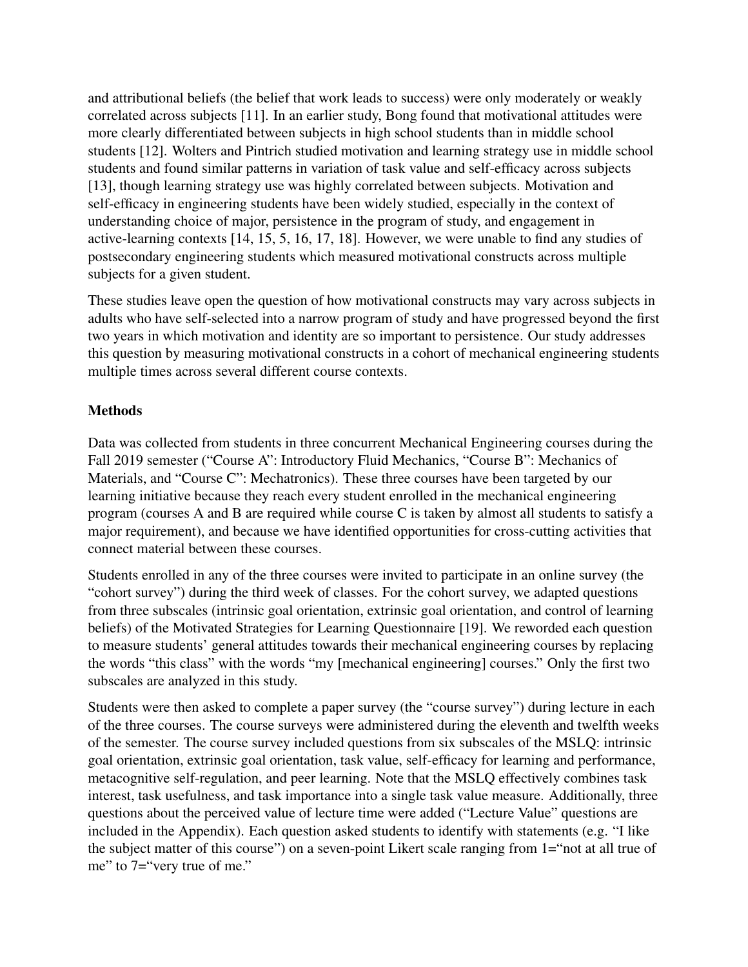and attributional beliefs (the belief that work leads to success) were only moderately or weakly correlated across subjects [11]. In an earlier study, Bong found that motivational attitudes were more clearly differentiated between subjects in high school students than in middle school students [12]. Wolters and Pintrich studied motivation and learning strategy use in middle school students and found similar patterns in variation of task value and self-efficacy across subjects [13], though learning strategy use was highly correlated between subjects. Motivation and self-efficacy in engineering students have been widely studied, especially in the context of understanding choice of major, persistence in the program of study, and engagement in active-learning contexts [14, 15, 5, 16, 17, 18]. However, we were unable to find any studies of postsecondary engineering students which measured motivational constructs across multiple subjects for a given student.

These studies leave open the question of how motivational constructs may vary across subjects in adults who have self-selected into a narrow program of study and have progressed beyond the first two years in which motivation and identity are so important to persistence. Our study addresses this question by measuring motivational constructs in a cohort of mechanical engineering students multiple times across several different course contexts.

# **Methods**

Data was collected from students in three concurrent Mechanical Engineering courses during the Fall 2019 semester ("Course A": Introductory Fluid Mechanics, "Course B": Mechanics of Materials, and "Course C": Mechatronics). These three courses have been targeted by our learning initiative because they reach every student enrolled in the mechanical engineering program (courses A and B are required while course C is taken by almost all students to satisfy a major requirement), and because we have identified opportunities for cross-cutting activities that connect material between these courses.

Students enrolled in any of the three courses were invited to participate in an online survey (the "cohort survey") during the third week of classes. For the cohort survey, we adapted questions from three subscales (intrinsic goal orientation, extrinsic goal orientation, and control of learning beliefs) of the Motivated Strategies for Learning Questionnaire [19]. We reworded each question to measure students' general attitudes towards their mechanical engineering courses by replacing the words "this class" with the words "my [mechanical engineering] courses." Only the first two subscales are analyzed in this study.

Students were then asked to complete a paper survey (the "course survey") during lecture in each of the three courses. The course surveys were administered during the eleventh and twelfth weeks of the semester. The course survey included questions from six subscales of the MSLQ: intrinsic goal orientation, extrinsic goal orientation, task value, self-efficacy for learning and performance, metacognitive self-regulation, and peer learning. Note that the MSLQ effectively combines task interest, task usefulness, and task importance into a single task value measure. Additionally, three questions about the perceived value of lecture time were added ("Lecture Value" questions are included in the Appendix). Each question asked students to identify with statements (e.g. "I like the subject matter of this course") on a seven-point Likert scale ranging from 1="not at all true of me" to 7="very true of me."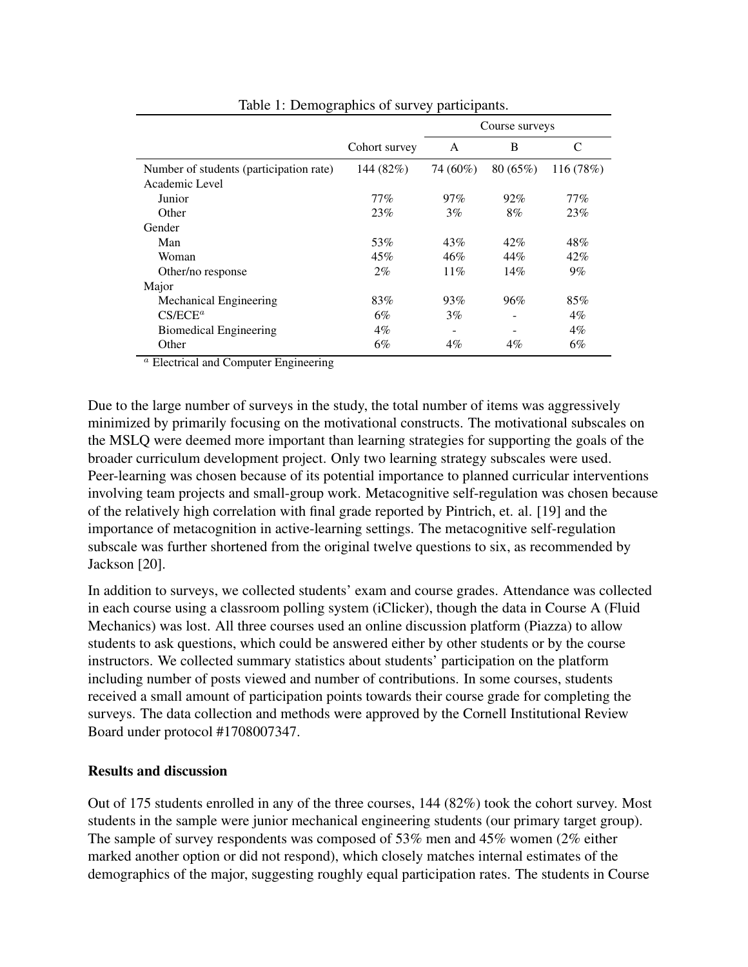|                                         |               | Course surveys |         |           |  |
|-----------------------------------------|---------------|----------------|---------|-----------|--|
|                                         | Cohort survey | A              | B       | C         |  |
| Number of students (participation rate) | 144 (82%)     | 74 (60%)       | 80(65%) | 116 (78%) |  |
| Academic Level                          |               |                |         |           |  |
| Junior                                  | $77\%$        | 97%            | 92%     | 77%       |  |
| Other                                   | 23%           | 3%             | 8%      | 23%       |  |
| Gender                                  |               |                |         |           |  |
| Man                                     | 53%           | 43%            | 42%     | 48%       |  |
| Woman                                   | 45%           | 46%            | 44%     | 42%       |  |
| Other/no response                       | 2%            | 11%            | 14%     | $9\%$     |  |
| Major                                   |               |                |         |           |  |
| Mechanical Engineering                  | 83%           | 93%            | 96%     | 85%       |  |
| $CS/ECE^a$                              | 6%            | 3%             |         | $4\%$     |  |
| <b>Biomedical Engineering</b>           | $4\%$         | -              |         | $4\%$     |  |
| Other                                   | 6%            | $4\%$          | $4\%$   | 6%        |  |

Table 1: Demographics of survey participants.

<sup>a</sup> Electrical and Computer Engineering

Due to the large number of surveys in the study, the total number of items was aggressively minimized by primarily focusing on the motivational constructs. The motivational subscales on the MSLQ were deemed more important than learning strategies for supporting the goals of the broader curriculum development project. Only two learning strategy subscales were used. Peer-learning was chosen because of its potential importance to planned curricular interventions involving team projects and small-group work. Metacognitive self-regulation was chosen because of the relatively high correlation with final grade reported by Pintrich, et. al. [19] and the importance of metacognition in active-learning settings. The metacognitive self-regulation subscale was further shortened from the original twelve questions to six, as recommended by Jackson [20].

In addition to surveys, we collected students' exam and course grades. Attendance was collected in each course using a classroom polling system (iClicker), though the data in Course A (Fluid Mechanics) was lost. All three courses used an online discussion platform (Piazza) to allow students to ask questions, which could be answered either by other students or by the course instructors. We collected summary statistics about students' participation on the platform including number of posts viewed and number of contributions. In some courses, students received a small amount of participation points towards their course grade for completing the surveys. The data collection and methods were approved by the Cornell Institutional Review Board under protocol #1708007347.

### Results and discussion

Out of 175 students enrolled in any of the three courses, 144 (82%) took the cohort survey. Most students in the sample were junior mechanical engineering students (our primary target group). The sample of survey respondents was composed of 53% men and 45% women (2% either marked another option or did not respond), which closely matches internal estimates of the demographics of the major, suggesting roughly equal participation rates. The students in Course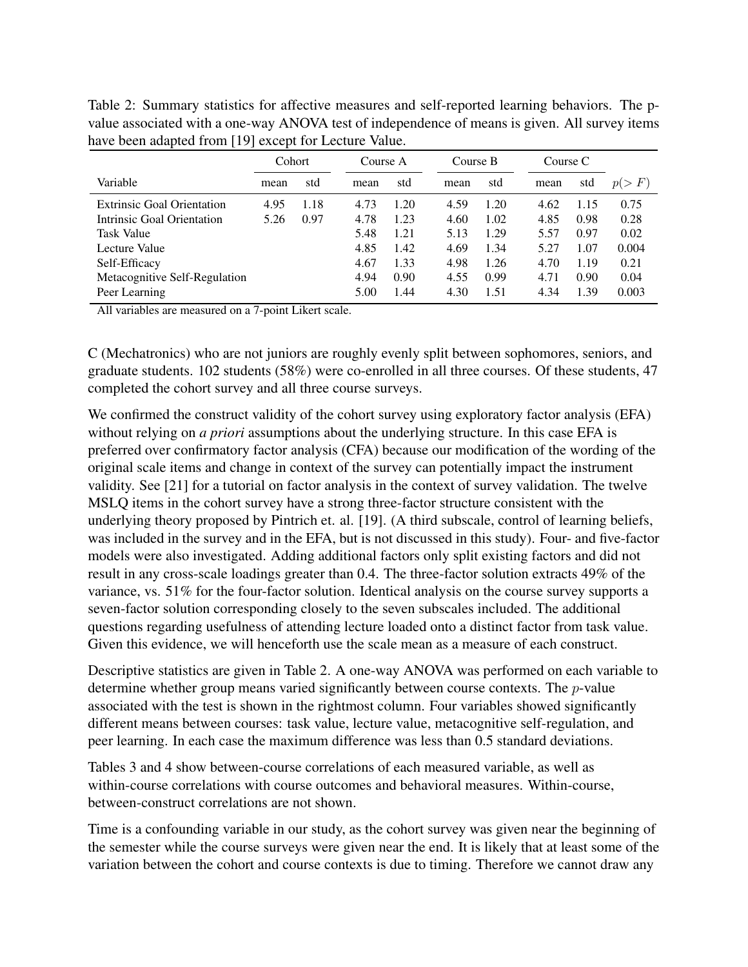Table 2: Summary statistics for affective measures and self-reported learning behaviors. The pvalue associated with a one-way ANOVA test of independence of means is given. All survey items have been adapted from [19] except for Lecture Value.

|                                   | Cohort |      | Course A |      | Course B |      | Course C |      |       |
|-----------------------------------|--------|------|----------|------|----------|------|----------|------|-------|
| Variable                          | mean   | std  | mean     | std  | mean     | std  | mean     | std  | p(>F) |
| <b>Extrinsic Goal Orientation</b> | 4.95   | 1.18 | 4.73     | 1.20 | 4.59     | 1.20 | 4.62     | 1.15 | 0.75  |
| Intrinsic Goal Orientation        | 5.26   | 0.97 | 4.78     | 1.23 | 4.60     | 1.02 | 4.85     | 0.98 | 0.28  |
| <b>Task Value</b>                 |        |      | 5.48     | 1.21 | 5.13     | 1.29 | 5.57     | 0.97 | 0.02  |
| Lecture Value                     |        |      | 4.85     | 1.42 | 4.69     | 1.34 | 5.27     | 1.07 | 0.004 |
| Self-Efficacy                     |        |      | 4.67     | 1.33 | 4.98     | 1.26 | 4.70     | 1.19 | 0.21  |
| Metacognitive Self-Regulation     |        |      | 4.94     | 0.90 | 4.55     | 0.99 | 4.71     | 0.90 | 0.04  |
| Peer Learning                     |        |      | 5.00     | 1.44 | 4.30     | 1.51 | 4.34     | 1.39 | 0.003 |

All variables are measured on a 7-point Likert scale.

C (Mechatronics) who are not juniors are roughly evenly split between sophomores, seniors, and graduate students. 102 students (58%) were co-enrolled in all three courses. Of these students, 47 completed the cohort survey and all three course surveys.

We confirmed the construct validity of the cohort survey using exploratory factor analysis (EFA) without relying on *a priori* assumptions about the underlying structure. In this case EFA is preferred over confirmatory factor analysis (CFA) because our modification of the wording of the original scale items and change in context of the survey can potentially impact the instrument validity. See [21] for a tutorial on factor analysis in the context of survey validation. The twelve MSLQ items in the cohort survey have a strong three-factor structure consistent with the underlying theory proposed by Pintrich et. al. [19]. (A third subscale, control of learning beliefs, was included in the survey and in the EFA, but is not discussed in this study). Four- and five-factor models were also investigated. Adding additional factors only split existing factors and did not result in any cross-scale loadings greater than 0.4. The three-factor solution extracts 49% of the variance, vs. 51% for the four-factor solution. Identical analysis on the course survey supports a seven-factor solution corresponding closely to the seven subscales included. The additional questions regarding usefulness of attending lecture loaded onto a distinct factor from task value. Given this evidence, we will henceforth use the scale mean as a measure of each construct.

Descriptive statistics are given in Table 2. A one-way ANOVA was performed on each variable to determine whether group means varied significantly between course contexts. The p-value associated with the test is shown in the rightmost column. Four variables showed significantly different means between courses: task value, lecture value, metacognitive self-regulation, and peer learning. In each case the maximum difference was less than 0.5 standard deviations.

Tables 3 and 4 show between-course correlations of each measured variable, as well as within-course correlations with course outcomes and behavioral measures. Within-course, between-construct correlations are not shown.

Time is a confounding variable in our study, as the cohort survey was given near the beginning of the semester while the course surveys were given near the end. It is likely that at least some of the variation between the cohort and course contexts is due to timing. Therefore we cannot draw any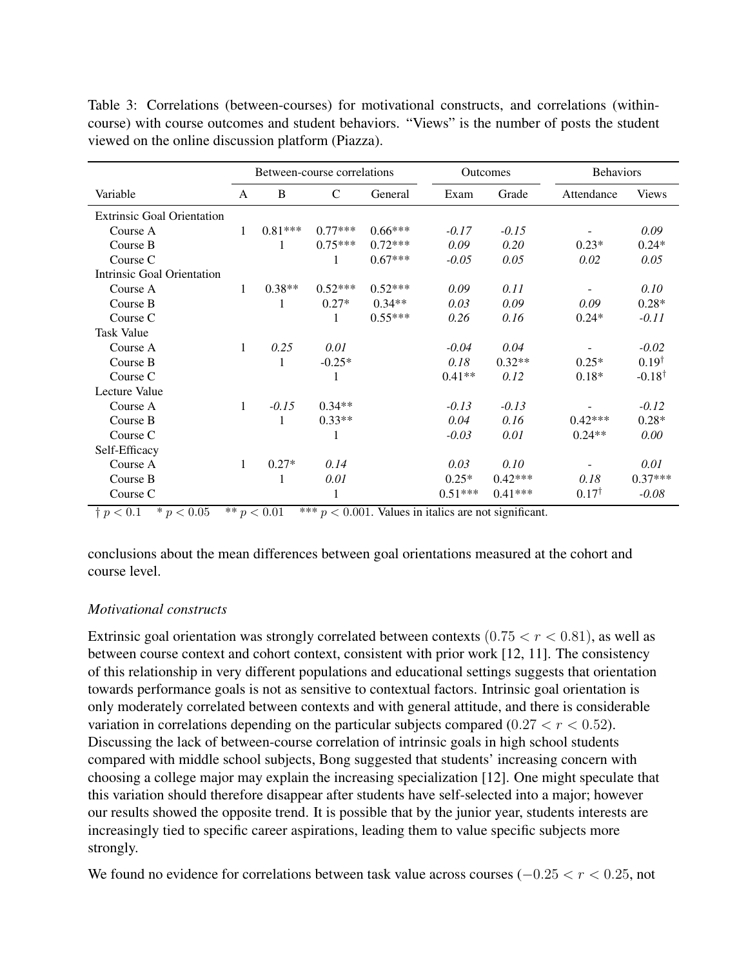|                                   | Between-course correlations |           |               | <b>Outcomes</b> |           | <b>Behaviors</b> |                  |                   |
|-----------------------------------|-----------------------------|-----------|---------------|-----------------|-----------|------------------|------------------|-------------------|
| Variable                          | A                           | B         | $\mathcal{C}$ | General         | Exam      | Grade            | Attendance       | <b>Views</b>      |
| <b>Extrinsic Goal Orientation</b> |                             |           |               |                 |           |                  |                  |                   |
| Course A                          | 1                           | $0.81***$ | $0.77***$     | $0.66***$       | $-0.17$   | $-0.15$          |                  | 0.09              |
| Course B                          |                             | 1         | $0.75***$     | $0.72***$       | 0.09      | 0.20             | $0.23*$          | $0.24*$           |
| Course C                          |                             |           | 1             | $0.67***$       | $-0.05$   | 0.05             | 0.02             | 0.05              |
| Intrinsic Goal Orientation        |                             |           |               |                 |           |                  |                  |                   |
| Course A                          | 1                           | $0.38**$  | $0.52***$     | $0.52***$       | 0.09      | 0.11             |                  | 0.10              |
| Course B                          |                             | 1         | $0.27*$       | $0.34**$        | 0.03      | 0.09             | 0.09             | $0.28*$           |
| Course C                          |                             |           | 1             | $0.55***$       | 0.26      | 0.16             | $0.24*$          | $-0.11$           |
| <b>Task Value</b>                 |                             |           |               |                 |           |                  |                  |                   |
| Course A                          | 1                           | 0.25      | 0.01          |                 | $-0.04$   | 0.04             |                  | $-0.02$           |
| Course B                          |                             | 1         | $-0.25*$      |                 | 0.18      | $0.32**$         | $0.25*$          | $0.19^{\dagger}$  |
| Course C                          |                             |           | 1             |                 | $0.41**$  | 0.12             | $0.18*$          | $-0.18^{\dagger}$ |
| Lecture Value                     |                             |           |               |                 |           |                  |                  |                   |
| Course A                          | $\mathbf{1}$                | $-0.15$   | $0.34**$      |                 | $-0.13$   | $-0.13$          |                  | $-0.12$           |
| Course B                          |                             | 1         | $0.33**$      |                 | 0.04      | 0.16             | $0.42***$        | $0.28*$           |
| Course C                          |                             |           | 1             |                 | $-0.03$   | 0.01             | $0.24**$         | 0.00              |
| Self-Efficacy                     |                             |           |               |                 |           |                  |                  |                   |
| Course A                          | 1                           | $0.27*$   | 0.14          |                 | 0.03      | 0.10             |                  | 0.01              |
| Course B                          |                             | 1         | 0.01          |                 | $0.25*$   | $0.42***$        | 0.18             | $0.37***$         |
| Course C                          |                             |           | 1             |                 | $0.51***$ | $0.41***$        | $0.17^{\dagger}$ | $-0.08$           |

Table 3: Correlations (between-courses) for motivational constructs, and correlations (withincourse) with course outcomes and student behaviors. "Views" is the number of posts the student viewed on the online discussion platform (Piazza).

 $\frac{1}{2} p < 0.1$  \*  $p < 0.05$  \*\*  $p < 0.01$  \*\*\*  $p < 0.001$ . Values in italics are not significant.

conclusions about the mean differences between goal orientations measured at the cohort and course level.

### *Motivational constructs*

Extrinsic goal orientation was strongly correlated between contexts  $(0.75 < r < 0.81)$ , as well as between course context and cohort context, consistent with prior work [12, 11]. The consistency of this relationship in very different populations and educational settings suggests that orientation towards performance goals is not as sensitive to contextual factors. Intrinsic goal orientation is only moderately correlated between contexts and with general attitude, and there is considerable variation in correlations depending on the particular subjects compared (0.27  $\lt r \lt 0.52$ ). Discussing the lack of between-course correlation of intrinsic goals in high school students compared with middle school subjects, Bong suggested that students' increasing concern with choosing a college major may explain the increasing specialization [12]. One might speculate that this variation should therefore disappear after students have self-selected into a major; however our results showed the opposite trend. It is possible that by the junior year, students interests are increasingly tied to specific career aspirations, leading them to value specific subjects more strongly.

We found no evidence for correlations between task value across courses  $(-0.25 < r < 0.25$ , not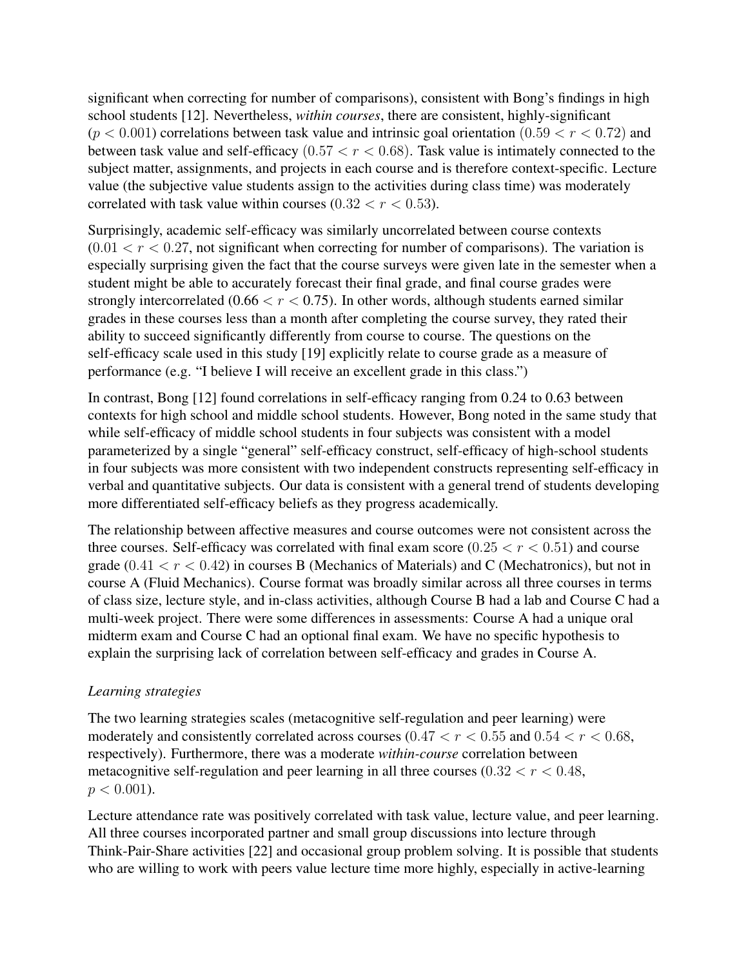significant when correcting for number of comparisons), consistent with Bong's findings in high school students [12]. Nevertheless, *within courses*, there are consistent, highly-significant  $(p < 0.001)$  correlations between task value and intrinsic goal orientation  $(0.59 < r < 0.72)$  and between task value and self-efficacy  $(0.57 < r < 0.68)$ . Task value is intimately connected to the subject matter, assignments, and projects in each course and is therefore context-specific. Lecture value (the subjective value students assign to the activities during class time) was moderately correlated with task value within courses  $(0.32 < r < 0.53)$ .

Surprisingly, academic self-efficacy was similarly uncorrelated between course contexts  $(0.01 < r < 0.27$ , not significant when correcting for number of comparisons). The variation is especially surprising given the fact that the course surveys were given late in the semester when a student might be able to accurately forecast their final grade, and final course grades were strongly intercorrelated (0.66  $\lt r \lt 0.75$ ). In other words, although students earned similar grades in these courses less than a month after completing the course survey, they rated their ability to succeed significantly differently from course to course. The questions on the self-efficacy scale used in this study [19] explicitly relate to course grade as a measure of performance (e.g. "I believe I will receive an excellent grade in this class.")

In contrast, Bong [12] found correlations in self-efficacy ranging from 0.24 to 0.63 between contexts for high school and middle school students. However, Bong noted in the same study that while self-efficacy of middle school students in four subjects was consistent with a model parameterized by a single "general" self-efficacy construct, self-efficacy of high-school students in four subjects was more consistent with two independent constructs representing self-efficacy in verbal and quantitative subjects. Our data is consistent with a general trend of students developing more differentiated self-efficacy beliefs as they progress academically.

The relationship between affective measures and course outcomes were not consistent across the three courses. Self-efficacy was correlated with final exam score  $(0.25 < r < 0.51)$  and course grade  $(0.41 < r < 0.42)$  in courses B (Mechanics of Materials) and C (Mechatronics), but not in course A (Fluid Mechanics). Course format was broadly similar across all three courses in terms of class size, lecture style, and in-class activities, although Course B had a lab and Course C had a multi-week project. There were some differences in assessments: Course A had a unique oral midterm exam and Course C had an optional final exam. We have no specific hypothesis to explain the surprising lack of correlation between self-efficacy and grades in Course A.

## *Learning strategies*

The two learning strategies scales (metacognitive self-regulation and peer learning) were moderately and consistently correlated across courses  $(0.47 < r < 0.55$  and  $0.54 < r < 0.68$ , respectively). Furthermore, there was a moderate *within-course* correlation between metacognitive self-regulation and peer learning in all three courses  $(0.32 < r < 0.48$ ,  $p < 0.001$ ).

Lecture attendance rate was positively correlated with task value, lecture value, and peer learning. All three courses incorporated partner and small group discussions into lecture through Think-Pair-Share activities [22] and occasional group problem solving. It is possible that students who are willing to work with peers value lecture time more highly, especially in active-learning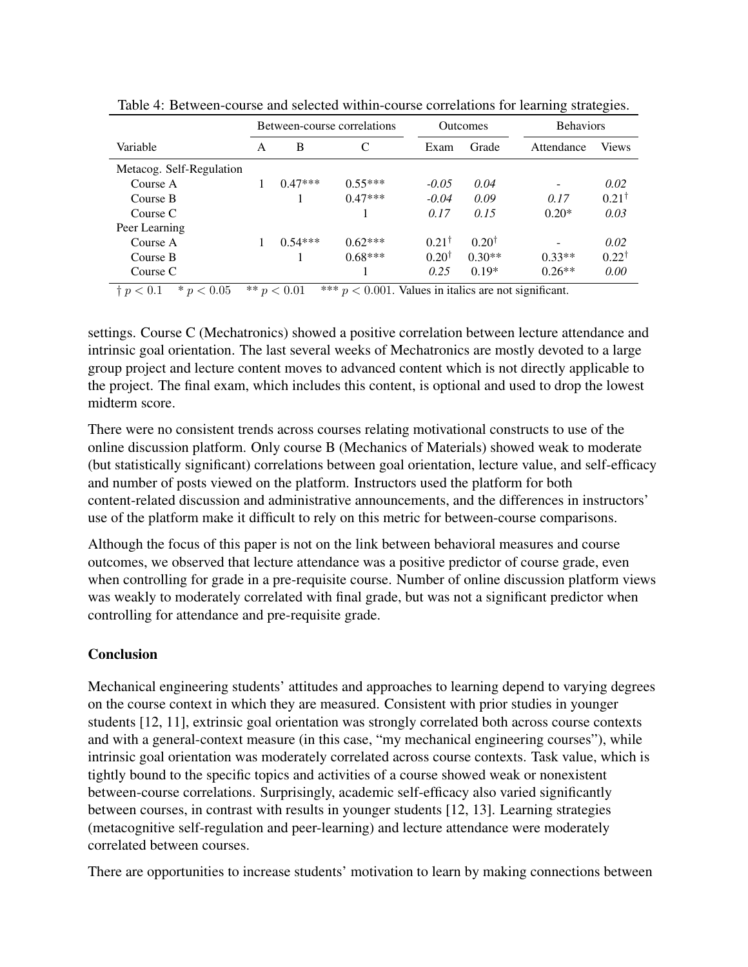|                          | Between-course correlations |           |           | <b>Outcomes</b>  |                  |            | <b>Behaviors</b> |  |
|--------------------------|-----------------------------|-----------|-----------|------------------|------------------|------------|------------------|--|
| Variable                 | A                           | B         | C         | Exam             | Grade            | Attendance | Views            |  |
| Metacog. Self-Regulation |                             |           |           |                  |                  |            |                  |  |
| Course A                 |                             | $0.47***$ | $0.55***$ | $-0.05$          | 0.04             |            | 0.02             |  |
| Course B                 |                             |           | $0.47***$ | $-0.04$          | 0.09             | 0.17       | $0.21^{\dagger}$ |  |
| Course C                 |                             |           |           | 0.17             | 0.15             | $0.20*$    | 0.03             |  |
| Peer Learning            |                             |           |           |                  |                  |            |                  |  |
| Course A                 |                             | $0.54***$ | $0.62***$ | $0.21^{\dagger}$ | $0.20^{\dagger}$ |            | 0.02             |  |
| Course B                 |                             |           | $0.68***$ | $0.20^{\dagger}$ | $0.30**$         | $0.33**$   | $0.22^{\dagger}$ |  |
| Course C                 |                             |           |           | 0.25             | $0.19*$          | $0.26**$   | 0.00             |  |

Table 4: Between-course and selected within-course correlations for learning strategies.

 $\frac{1}{2} p < 0.1$  \*  $p < 0.05$  \*\*  $p < 0.01$  \*\*\*  $p < 0.001$ . Values in italics are not significant.

settings. Course C (Mechatronics) showed a positive correlation between lecture attendance and intrinsic goal orientation. The last several weeks of Mechatronics are mostly devoted to a large group project and lecture content moves to advanced content which is not directly applicable to the project. The final exam, which includes this content, is optional and used to drop the lowest midterm score.

There were no consistent trends across courses relating motivational constructs to use of the online discussion platform. Only course B (Mechanics of Materials) showed weak to moderate (but statistically significant) correlations between goal orientation, lecture value, and self-efficacy and number of posts viewed on the platform. Instructors used the platform for both content-related discussion and administrative announcements, and the differences in instructors' use of the platform make it difficult to rely on this metric for between-course comparisons.

Although the focus of this paper is not on the link between behavioral measures and course outcomes, we observed that lecture attendance was a positive predictor of course grade, even when controlling for grade in a pre-requisite course. Number of online discussion platform views was weakly to moderately correlated with final grade, but was not a significant predictor when controlling for attendance and pre-requisite grade.

# **Conclusion**

Mechanical engineering students' attitudes and approaches to learning depend to varying degrees on the course context in which they are measured. Consistent with prior studies in younger students [12, 11], extrinsic goal orientation was strongly correlated both across course contexts and with a general-context measure (in this case, "my mechanical engineering courses"), while intrinsic goal orientation was moderately correlated across course contexts. Task value, which is tightly bound to the specific topics and activities of a course showed weak or nonexistent between-course correlations. Surprisingly, academic self-efficacy also varied significantly between courses, in contrast with results in younger students [12, 13]. Learning strategies (metacognitive self-regulation and peer-learning) and lecture attendance were moderately correlated between courses.

There are opportunities to increase students' motivation to learn by making connections between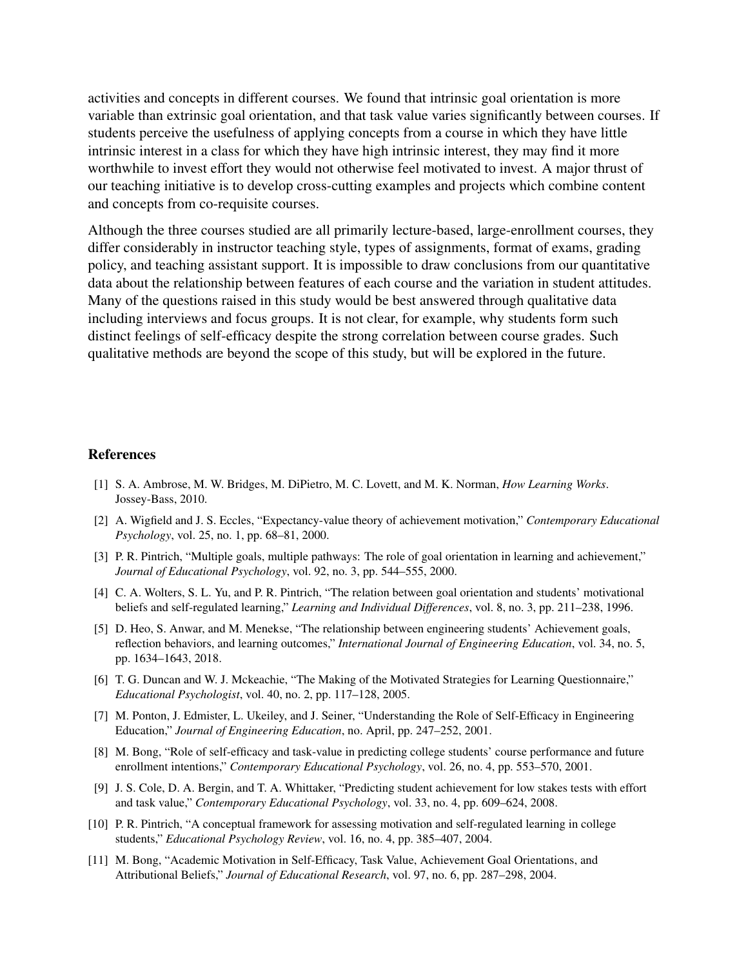activities and concepts in different courses. We found that intrinsic goal orientation is more variable than extrinsic goal orientation, and that task value varies significantly between courses. If students perceive the usefulness of applying concepts from a course in which they have little intrinsic interest in a class for which they have high intrinsic interest, they may find it more worthwhile to invest effort they would not otherwise feel motivated to invest. A major thrust of our teaching initiative is to develop cross-cutting examples and projects which combine content and concepts from co-requisite courses.

Although the three courses studied are all primarily lecture-based, large-enrollment courses, they differ considerably in instructor teaching style, types of assignments, format of exams, grading policy, and teaching assistant support. It is impossible to draw conclusions from our quantitative data about the relationship between features of each course and the variation in student attitudes. Many of the questions raised in this study would be best answered through qualitative data including interviews and focus groups. It is not clear, for example, why students form such distinct feelings of self-efficacy despite the strong correlation between course grades. Such qualitative methods are beyond the scope of this study, but will be explored in the future.

#### References

- [1] S. A. Ambrose, M. W. Bridges, M. DiPietro, M. C. Lovett, and M. K. Norman, *How Learning Works*. Jossey-Bass, 2010.
- [2] A. Wigfield and J. S. Eccles, "Expectancy-value theory of achievement motivation," *Contemporary Educational Psychology*, vol. 25, no. 1, pp. 68–81, 2000.
- [3] P. R. Pintrich, "Multiple goals, multiple pathways: The role of goal orientation in learning and achievement," *Journal of Educational Psychology*, vol. 92, no. 3, pp. 544–555, 2000.
- [4] C. A. Wolters, S. L. Yu, and P. R. Pintrich, "The relation between goal orientation and students' motivational beliefs and self-regulated learning," *Learning and Individual Differences*, vol. 8, no. 3, pp. 211–238, 1996.
- [5] D. Heo, S. Anwar, and M. Menekse, "The relationship between engineering students' Achievement goals, reflection behaviors, and learning outcomes," *International Journal of Engineering Education*, vol. 34, no. 5, pp. 1634–1643, 2018.
- [6] T. G. Duncan and W. J. Mckeachie, "The Making of the Motivated Strategies for Learning Questionnaire," *Educational Psychologist*, vol. 40, no. 2, pp. 117–128, 2005.
- [7] M. Ponton, J. Edmister, L. Ukeiley, and J. Seiner, "Understanding the Role of Self-Efficacy in Engineering Education," *Journal of Engineering Education*, no. April, pp. 247–252, 2001.
- [8] M. Bong, "Role of self-efficacy and task-value in predicting college students' course performance and future enrollment intentions," *Contemporary Educational Psychology*, vol. 26, no. 4, pp. 553–570, 2001.
- [9] J. S. Cole, D. A. Bergin, and T. A. Whittaker, "Predicting student achievement for low stakes tests with effort and task value," *Contemporary Educational Psychology*, vol. 33, no. 4, pp. 609–624, 2008.
- [10] P. R. Pintrich, "A conceptual framework for assessing motivation and self-regulated learning in college students," *Educational Psychology Review*, vol. 16, no. 4, pp. 385–407, 2004.
- [11] M. Bong, "Academic Motivation in Self-Efficacy, Task Value, Achievement Goal Orientations, and Attributional Beliefs," *Journal of Educational Research*, vol. 97, no. 6, pp. 287–298, 2004.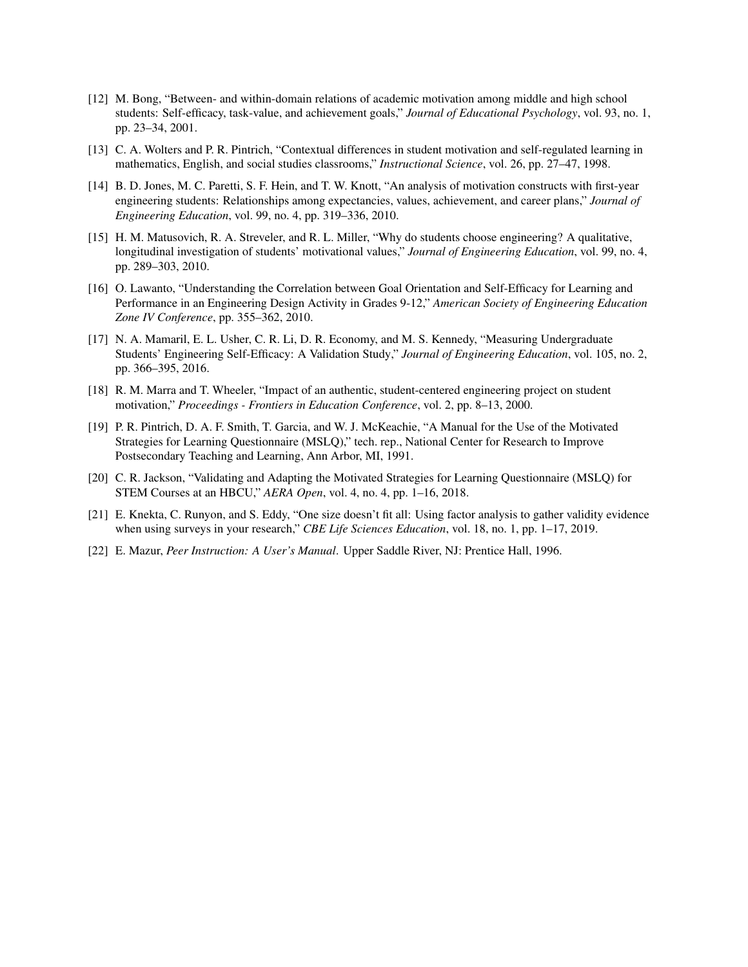- [12] M. Bong, "Between- and within-domain relations of academic motivation among middle and high school students: Self-efficacy, task-value, and achievement goals," *Journal of Educational Psychology*, vol. 93, no. 1, pp. 23–34, 2001.
- [13] C. A. Wolters and P. R. Pintrich, "Contextual differences in student motivation and self-regulated learning in mathematics, English, and social studies classrooms," *Instructional Science*, vol. 26, pp. 27–47, 1998.
- [14] B. D. Jones, M. C. Paretti, S. F. Hein, and T. W. Knott, "An analysis of motivation constructs with first-year engineering students: Relationships among expectancies, values, achievement, and career plans," *Journal of Engineering Education*, vol. 99, no. 4, pp. 319–336, 2010.
- [15] H. M. Matusovich, R. A. Streveler, and R. L. Miller, "Why do students choose engineering? A qualitative, longitudinal investigation of students' motivational values," *Journal of Engineering Education*, vol. 99, no. 4, pp. 289–303, 2010.
- [16] O. Lawanto, "Understanding the Correlation between Goal Orientation and Self-Efficacy for Learning and Performance in an Engineering Design Activity in Grades 9-12," *American Society of Engineering Education Zone IV Conference*, pp. 355–362, 2010.
- [17] N. A. Mamaril, E. L. Usher, C. R. Li, D. R. Economy, and M. S. Kennedy, "Measuring Undergraduate Students' Engineering Self-Efficacy: A Validation Study," *Journal of Engineering Education*, vol. 105, no. 2, pp. 366–395, 2016.
- [18] R. M. Marra and T. Wheeler, "Impact of an authentic, student-centered engineering project on student motivation," *Proceedings - Frontiers in Education Conference*, vol. 2, pp. 8–13, 2000.
- [19] P. R. Pintrich, D. A. F. Smith, T. Garcia, and W. J. McKeachie, "A Manual for the Use of the Motivated Strategies for Learning Questionnaire (MSLQ)," tech. rep., National Center for Research to Improve Postsecondary Teaching and Learning, Ann Arbor, MI, 1991.
- [20] C. R. Jackson, "Validating and Adapting the Motivated Strategies for Learning Questionnaire (MSLQ) for STEM Courses at an HBCU," *AERA Open*, vol. 4, no. 4, pp. 1–16, 2018.
- [21] E. Knekta, C. Runyon, and S. Eddy, "One size doesn't fit all: Using factor analysis to gather validity evidence when using surveys in your research," *CBE Life Sciences Education*, vol. 18, no. 1, pp. 1–17, 2019.
- [22] E. Mazur, *Peer Instruction: A User's Manual*. Upper Saddle River, NJ: Prentice Hall, 1996.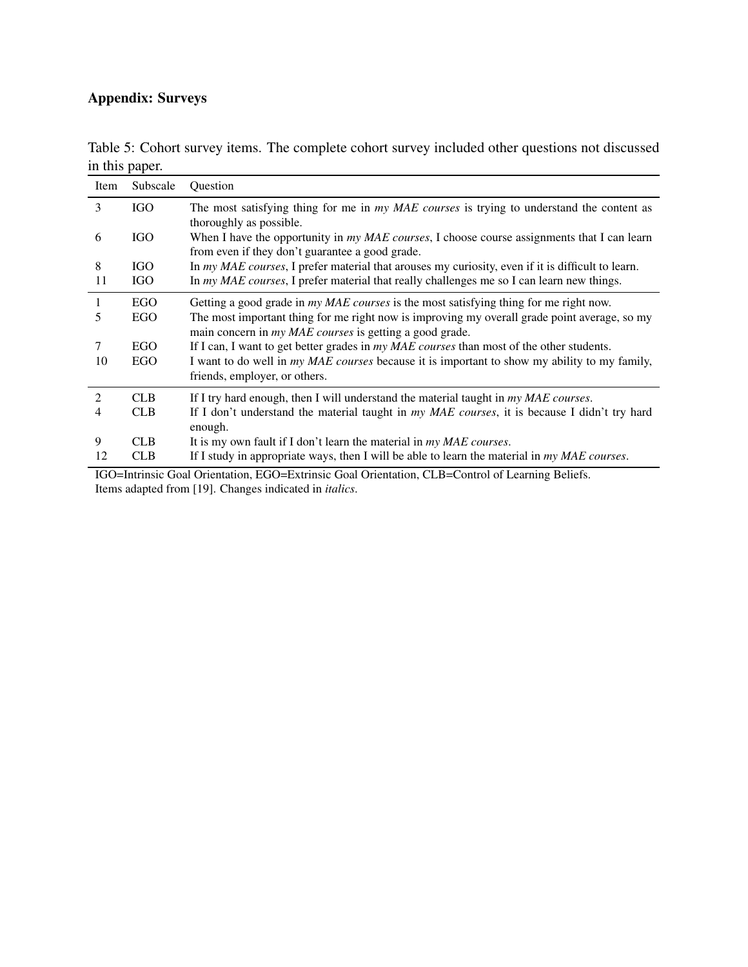# Appendix: Surveys

| Item | Subscale   | Question                                                                                                                                                       |
|------|------------|----------------------------------------------------------------------------------------------------------------------------------------------------------------|
| 3    | <b>IGO</b> | The most satisfying thing for me in my MAE courses is trying to understand the content as<br>thoroughly as possible.                                           |
| 6    | <b>IGO</b> | When I have the opportunity in my MAE courses, I choose course assignments that I can learn<br>from even if they don't guarantee a good grade.                 |
| 8    | IGO        | In my MAE courses, I prefer material that arouses my curiosity, even if it is difficult to learn.                                                              |
| 11   | <b>IGO</b> | In $my \text{ } MAE \text{ courses}$ , I prefer material that really challenges me so I can learn new things.                                                  |
| 1    | <b>EGO</b> | Getting a good grade in <i>my MAE courses</i> is the most satisfying thing for me right now.                                                                   |
| 5    | EGO        | The most important thing for me right now is improving my overall grade point average, so my<br>main concern in <i>my MAE courses</i> is getting a good grade. |
| 7    | <b>EGO</b> | If I can, I want to get better grades in <i>my MAE courses</i> than most of the other students.                                                                |
| 10   | EGO        | I want to do well in <i>my MAE courses</i> because it is important to show my ability to my family,                                                            |
|      |            | friends, employer, or others.                                                                                                                                  |
| 2    | CLB.       | If I try hard enough, then I will understand the material taught in my MAE courses.                                                                            |
| 4    | <b>CLB</b> | If I don't understand the material taught in my MAE courses, it is because I didn't try hard                                                                   |
| 9    | <b>CLB</b> | enough.                                                                                                                                                        |
|      |            | It is my own fault if I don't learn the material in <i>my MAE courses</i> .                                                                                    |
| 12   | <b>CLB</b> | If I study in appropriate ways, then I will be able to learn the material in my MAE courses.                                                                   |

Table 5: Cohort survey items. The complete cohort survey included other questions not discussed in this paper.

IGO=Intrinsic Goal Orientation, EGO=Extrinsic Goal Orientation, CLB=Control of Learning Beliefs. Items adapted from [19]. Changes indicated in *italics*.